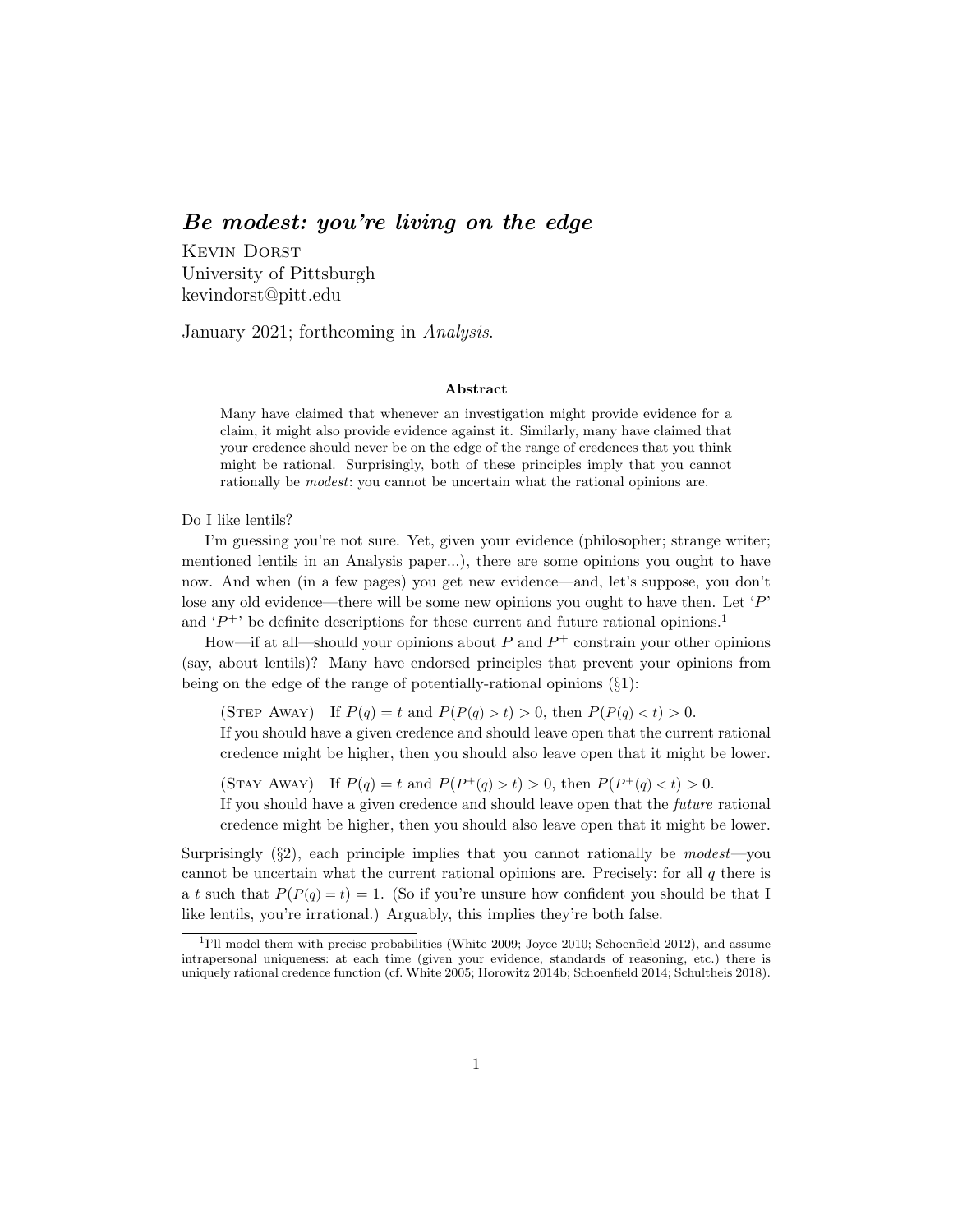### Be modest: you're living on the edge

Kevin Dorst University of Pittsburgh kevindorst@pitt.edu

January 2021; forthcoming in Analysis.

#### Abstract

Many have claimed that whenever an investigation might provide evidence for a claim, it might also provide evidence against it. Similarly, many have claimed that your credence should never be on the edge of the range of credences that you think might be rational. Surprisingly, both of these principles imply that you cannot rationally be *modest*: you cannot be uncertain what the rational opinions are.

Do I like lentils?

I'm guessing you're not sure. Yet, given your evidence (philosopher; strange writer; mentioned lentils in an Analysis paper...), there are some opinions you ought to have now. And when (in a few pages) you get new evidence—and, let's suppose, you don't lose any old evidence—there will be some new opinions you ought to have then. Let  $P'$ and  $P^+$  be definite descriptions for these current and future rational opinions.<sup>1</sup>

How—if at all—should your opinions about  $P$  and  $P^+$  constrain your other opinions (say, about lentils)? Many have endorsed principles that prevent your opinions from being on the edge of the range of potentially-rational opinions (§1):

(STEP AWAY) If  $P(q) = t$  and  $P(P(q) > t) > 0$ , then  $P(P(q) < t) > 0$ .

If you should have a given credence and should leave open that the current rational credence might be higher, then you should also leave open that it might be lower.

(STAY AWAY) If  $P(q) = t$  and  $P(P^+(q) > t) > 0$ , then  $P(P^+(q) < t) > 0$ .

If you should have a given credence and should leave open that the future rational credence might be higher, then you should also leave open that it might be lower.

Surprisingly  $(\S 2)$ , each principle implies that you cannot rationally be modest—you cannot be uncertain what the current rational opinions are. Precisely: for all  $q$  there is a t such that  $P(P(q) = t) = 1$ . (So if you're unsure how confident you should be that I like lentils, you're irrational.) Arguably, this implies they're both false.

<sup>&</sup>lt;sup>1</sup>I'll model them with precise probabilities (White 2009; Joyce 2010; Schoenfield 2012), and assume intrapersonal uniqueness: at each time (given your evidence, standards of reasoning, etc.) there is uniquely rational credence function (cf. White 2005; Horowitz 2014b; Schoenfield 2014; Schultheis 2018).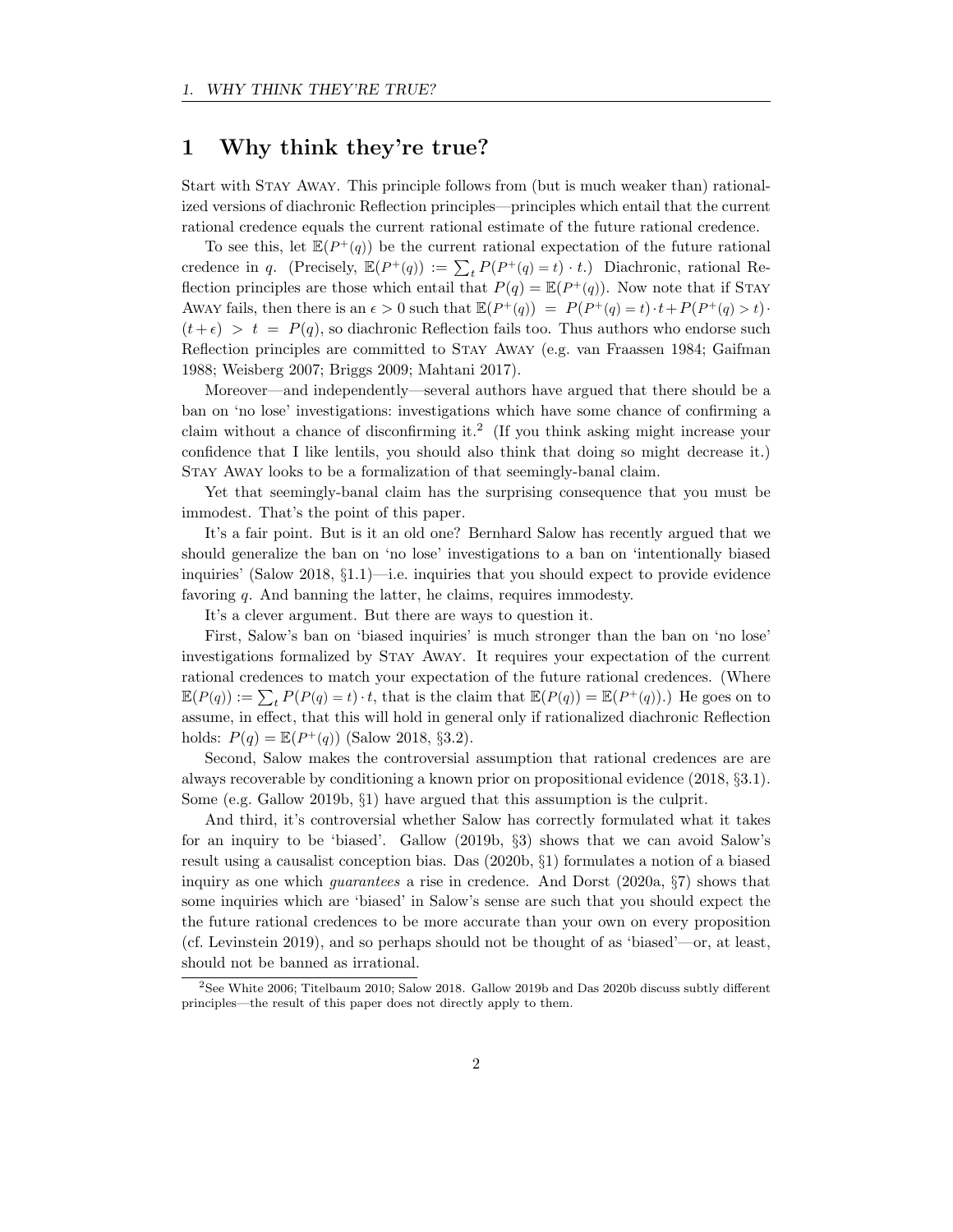## 1 Why think they're true?

Start with Stay Away. This principle follows from (but is much weaker than) rationalized versions of diachronic Reflection principles—principles which entail that the current rational credence equals the current rational estimate of the future rational credence.

To see this, let  $\mathbb{E}(P^+(q))$  be the current rational expectation of the future rational credence in q. (Precisely,  $\mathbb{E}(P^+(q)) := \sum_t P(P^+(q) = t) \cdot t$ .) Diachronic, rational Reflection principles are those which entail that  $P(q) = \mathbb{E}(P^+(q))$ . Now note that if STAY AWAY fails, then there is an  $\epsilon > 0$  such that  $\mathbb{E}(P^+(q)) = P(P^+(q) = t) \cdot t + P(P^+(q) > t) \cdot$  $(t + \epsilon) > t = P(q)$ , so diachronic Reflection fails too. Thus authors who endorse such Reflection principles are committed to Stay Away (e.g. van Fraassen 1984; Gaifman 1988; Weisberg 2007; Briggs 2009; Mahtani 2017).

Moreover—and independently—several authors have argued that there should be a ban on 'no lose' investigations: investigations which have some chance of confirming a claim without a chance of disconfirming it.<sup>2</sup> (If you think asking might increase your confidence that I like lentils, you should also think that doing so might decrease it.) Stay Away looks to be a formalization of that seemingly-banal claim.

Yet that seemingly-banal claim has the surprising consequence that you must be immodest. That's the point of this paper.

It's a fair point. But is it an old one? Bernhard Salow has recently argued that we should generalize the ban on 'no lose' investigations to a ban on 'intentionally biased inquiries' (Salow 2018,  $\S1.1$ )—i.e. inquiries that you should expect to provide evidence favoring q. And banning the latter, he claims, requires immodesty.

It's a clever argument. But there are ways to question it.

First, Salow's ban on 'biased inquiries' is much stronger than the ban on 'no lose' investigations formalized by Stay Away. It requires your expectation of the current rational credences to match your expectation of the future rational credences. (Where  $\mathbb{E}(P(q)) := \sum_t P(P(q) = t) \cdot t$ , that is the claim that  $\mathbb{E}(P(q)) = \mathbb{E}(P^+(q))$ . He goes on to assume, in effect, that this will hold in general only if rationalized diachronic Reflection holds:  $P(q) = \mathbb{E}(P^+(q))$  (Salow 2018, §3.2).

Second, Salow makes the controversial assumption that rational credences are are always recoverable by conditioning a known prior on propositional evidence (2018, §3.1). Some (e.g. Gallow 2019b, §1) have argued that this assumption is the culprit.

And third, it's controversial whether Salow has correctly formulated what it takes for an inquiry to be 'biased'. Gallow (2019b, §3) shows that we can avoid Salow's result using a causalist conception bias. Das (2020b, §1) formulates a notion of a biased inquiry as one which *guarantees* a rise in credence. And Dorst  $(2020a, \S7)$  shows that some inquiries which are 'biased' in Salow's sense are such that you should expect the the future rational credences to be more accurate than your own on every proposition (cf. Levinstein 2019), and so perhaps should not be thought of as 'biased'—or, at least, should not be banned as irrational.

<sup>2</sup>See White 2006; Titelbaum 2010; Salow 2018. Gallow 2019b and Das 2020b discuss subtly different principles—the result of this paper does not directly apply to them.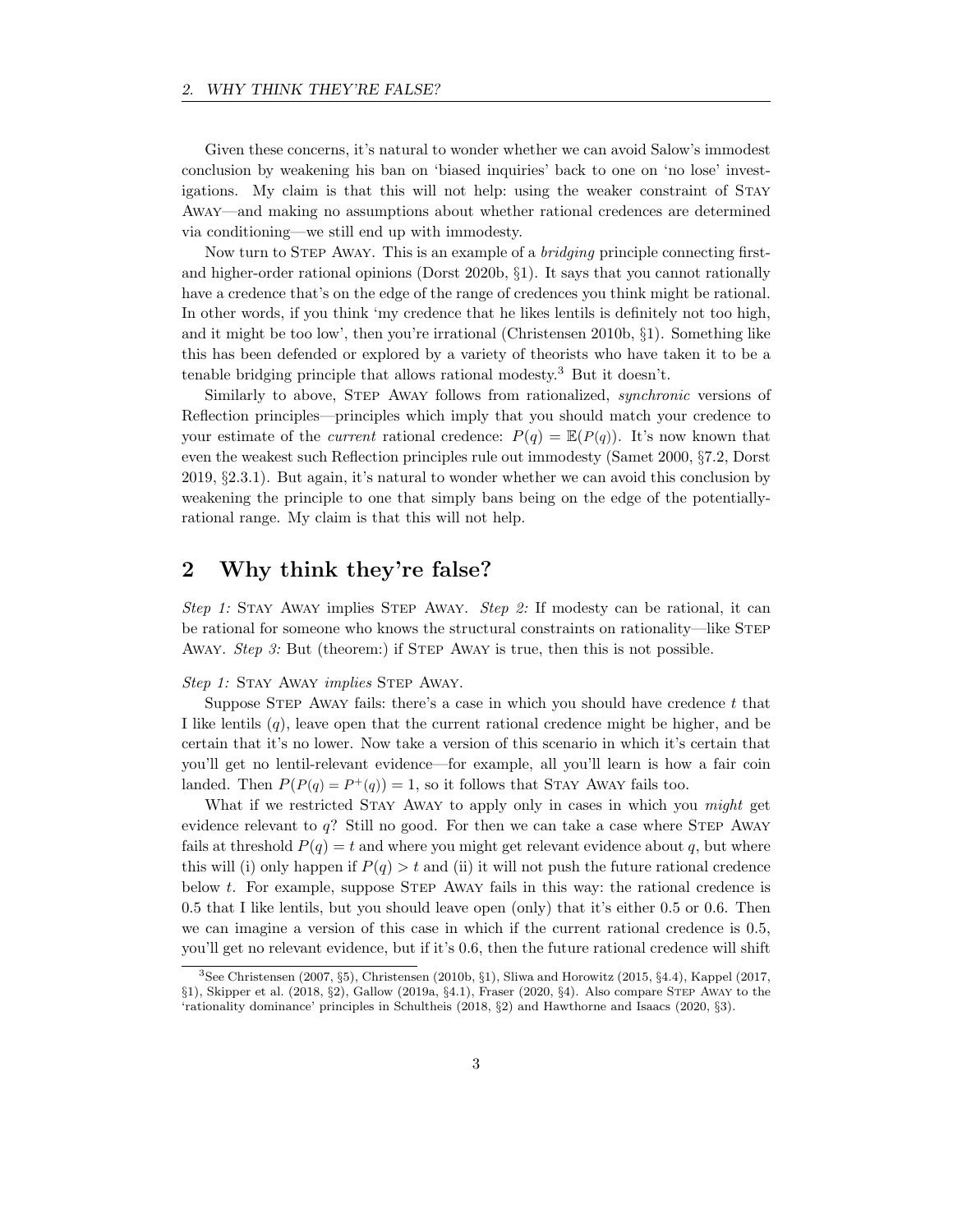Given these concerns, it's natural to wonder whether we can avoid Salow's immodest conclusion by weakening his ban on 'biased inquiries' back to one on 'no lose' investigations. My claim is that this will not help: using the weaker constraint of Stay Away—and making no assumptions about whether rational credences are determined via conditioning—we still end up with immodesty.

Now turn to Step Away. This is an example of a bridging principle connecting firstand higher-order rational opinions (Dorst 2020b, §1). It says that you cannot rationally have a credence that's on the edge of the range of credences you think might be rational. In other words, if you think 'my credence that he likes lentils is definitely not too high, and it might be too low', then you're irrational (Christensen 2010b, §1). Something like this has been defended or explored by a variety of theorists who have taken it to be a tenable bridging principle that allows rational modesty.<sup>3</sup> But it doesn't.

Similarly to above, STEP AWAY follows from rationalized, *synchronic* versions of Reflection principles—principles which imply that you should match your credence to your estimate of the *current* rational credence:  $P(q) = \mathbb{E}(P(q))$ . It's now known that even the weakest such Reflection principles rule out immodesty (Samet 2000, §7.2, Dorst 2019, §2.3.1). But again, it's natural to wonder whether we can avoid this conclusion by weakening the principle to one that simply bans being on the edge of the potentiallyrational range. My claim is that this will not help.

# 2 Why think they're false?

Step 1: Stay Away implies Step Away. Step 2: If modesty can be rational, it can be rational for someone who knows the structural constraints on rationality—like STEP Away. Step 3: But (theorem:) if STEP Away is true, then this is not possible.

#### Step 1: STAY AWAY *implies* STEP AWAY.

Suppose STEP AWAY fails: there's a case in which you should have credence  $t$  that I like lentils  $(q)$ , leave open that the current rational credence might be higher, and be certain that it's no lower. Now take a version of this scenario in which it's certain that you'll get no lentil-relevant evidence—for example, all you'll learn is how a fair coin landed. Then  $P(P(q) = P^+(q)) = 1$ , so it follows that STAY AWAY fails too.

What if we restricted STAY AWAY to apply only in cases in which you *might* get evidence relevant to  $q$ ? Still no good. For then we can take a case where STEP AWAY fails at threshold  $P(q) = t$  and where you might get relevant evidence about q, but where this will (i) only happen if  $P(q) > t$  and (ii) it will not push the future rational credence below t. For example, suppose STEP AWAY fails in this way: the rational credence is 0.5 that I like lentils, but you should leave open (only) that it's either 0.5 or 0.6. Then we can imagine a version of this case in which if the current rational credence is 0.5, you'll get no relevant evidence, but if it's 0.6, then the future rational credence will shift

<sup>3</sup>See Christensen (2007, §5), Christensen (2010b, §1), Sliwa and Horowitz (2015, §4.4), Kappel (2017, §1), Skipper et al. (2018, §2), Gallow (2019a, §4.1), Fraser (2020, §4). Also compare Step Away to the 'rationality dominance' principles in Schultheis (2018, §2) and Hawthorne and Isaacs (2020, §3).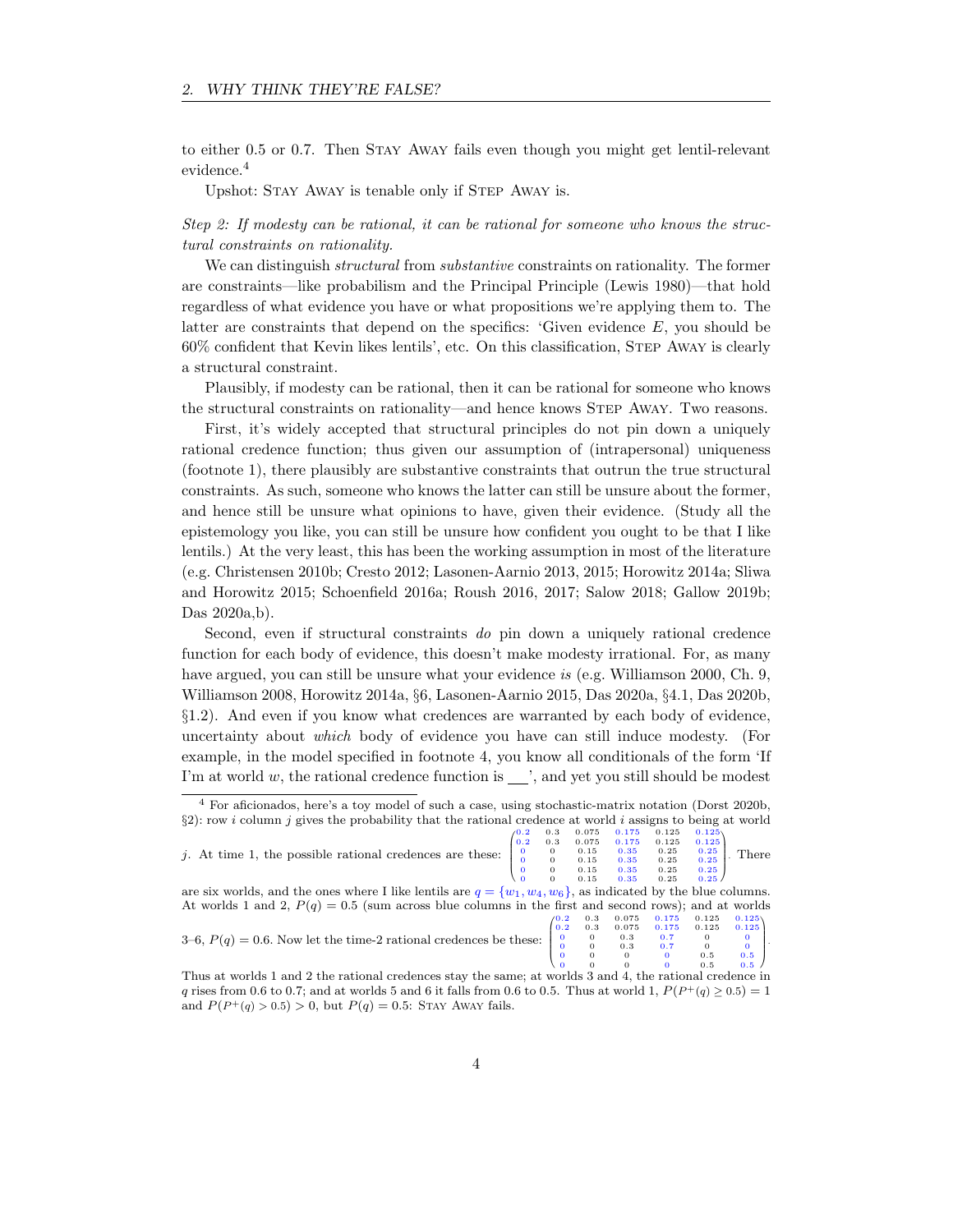to either 0.5 or 0.7. Then Stay Away fails even though you might get lentil-relevant evidence.<sup>4</sup>

Upshot: STAY AWAY is tenable only if STEP AWAY is.

### Step 2: If modesty can be rational, it can be rational for someone who knows the structural constraints on rationality.

We can distinguish structural from substantive constraints on rationality. The former are constraints—like probabilism and the Principal Principle (Lewis 1980)—that hold regardless of what evidence you have or what propositions we're applying them to. The latter are constraints that depend on the specifics: 'Given evidence  $E$ , you should be 60% confident that Kevin likes lentils', etc. On this classification, Step Away is clearly a structural constraint.

Plausibly, if modesty can be rational, then it can be rational for someone who knows the structural constraints on rationality—and hence knows Step Away. Two reasons.

First, it's widely accepted that structural principles do not pin down a uniquely rational credence function; thus given our assumption of (intrapersonal) uniqueness (footnote 1), there plausibly are substantive constraints that outrun the true structural constraints. As such, someone who knows the latter can still be unsure about the former, and hence still be unsure what opinions to have, given their evidence. (Study all the epistemology you like, you can still be unsure how confident you ought to be that I like lentils.) At the very least, this has been the working assumption in most of the literature (e.g. Christensen 2010b; Cresto 2012; Lasonen-Aarnio 2013, 2015; Horowitz 2014a; Sliwa and Horowitz 2015; Schoenfield 2016a; Roush 2016, 2017; Salow 2018; Gallow 2019b; Das 2020a,b).

Second, even if structural constraints do pin down a uniquely rational credence function for each body of evidence, this doesn't make modesty irrational. For, as many have argued, you can still be unsure what your evidence is (e.g. Williamson 2000, Ch. 9, Williamson 2008, Horowitz 2014a, §6, Lasonen-Aarnio 2015, Das 2020a, §4.1, Das 2020b, §1.2). And even if you know what credences are warranted by each body of evidence, uncertainty about which body of evidence you have can still induce modesty. (For example, in the model specified in footnote 4, you know all conditionals of the form 'If I'm at world  $w$ , the rational credence function is  $\frac{1}{\sqrt{2}}$ , and yet you still should be modest

<sup>4</sup> For aficionados, here's a toy model of such a case, using stochastic-matrix notation (Dorst 2020b,  $\S2$ ): row *i* column *j* gives the probability that the rational credence at world *i* assigns to being at world  $0.125 - 0.125$ 

|                                                                                                                   |          | 0.3            | 0.075                                         | 0.175                                          | 0.125                                       | 0.125 |                                                   |  |
|-------------------------------------------------------------------------------------------------------------------|----------|----------------|-----------------------------------------------|------------------------------------------------|---------------------------------------------|-------|---------------------------------------------------|--|
| j. At time 1, the possible rational credences are these:                                                          | 0.2      |                | 0.075                                         | 0.175                                          | 0.125                                       | 0.125 |                                                   |  |
|                                                                                                                   | $\Omega$ | $\theta$       | 0.15                                          | 0.35                                           | 0.25                                        | 0.25  | There                                             |  |
|                                                                                                                   |          | $\overline{0}$ | 0.15                                          | 0.35                                           | 0.25                                        | 0.25  |                                                   |  |
|                                                                                                                   |          |                | 0.15                                          | 0.35                                           | 0.25                                        | 0.25  |                                                   |  |
|                                                                                                                   |          |                | 0.15                                          | 0.35                                           | 0.25                                        | 0.25/ |                                                   |  |
| are six worlds, and the ones where I like lentils are $q = \{w_1, w_4, w_6\}$ , as indicated by the blue columns. |          |                |                                               |                                                |                                             |       |                                                   |  |
| At worlds 1 and 2, $P(q) = 0.5$ (sum across blue columns in the first and second rows); and at worlds             |          |                |                                               |                                                |                                             |       |                                                   |  |
|                                                                                                                   |          |                |                                               |                                                |                                             | 0.125 | 0.125                                             |  |
|                                                                                                                   |          | 0.2            | $\begin{smallmatrix}0.3\0.3\end{smallmatrix}$ | $\begin{array}{c} 0.075\ 0.075 \end{array}$    | $\begin{array}{c} 0.175\ 0.175 \end{array}$ | 0.125 | 0.125                                             |  |
| 3–6, $P(q) = 0.6$ . Now let the time-2 rational credences be these: $\begin{bmatrix} 0 \\ 0 \end{bmatrix}$        |          |                |                                               |                                                | 0.7                                         |       |                                                   |  |
|                                                                                                                   |          |                |                                               | $\begin{matrix} 0 & 0 \\ 0 & 0.3 \end{matrix}$ | 0.7                                         |       | $\begin{array}{c} 0 \\ 0 \\ 0.5 \end{array}$<br>ŀ |  |
|                                                                                                                   |          |                |                                               | $\Omega$                                       | $\overline{0}$                              | 0.5   |                                                   |  |
|                                                                                                                   |          |                |                                               |                                                |                                             |       |                                                   |  |

| 3–6, $P(q) = 0.6$ . Now let the time-2 rational credences be these: $\begin{bmatrix} 0 & 0 & 0.3 & 0.7 & 0 & 0 \\ 0 & 0 & 0.3 & 0.7 & 0 & 0 \\ 0 & 0 & 0 & 0 & 0.5 & 0.5 \\ 0 & 0 & 0 & 0 & 0.5 & 0.5 \end{bmatrix}$ |  |  |  |
|----------------------------------------------------------------------------------------------------------------------------------------------------------------------------------------------------------------------|--|--|--|
|                                                                                                                                                                                                                      |  |  |  |
|                                                                                                                                                                                                                      |  |  |  |
|                                                                                                                                                                                                                      |  |  |  |

Thus at worlds 1 and 2 the rational credences stay the same; at worlds 3 and 4, the rational credence in q rises from 0.6 to 0.7; and at worlds 5 and 6 it falls from 0.6 to 0.5. Thus at world 1,  $P(P^+(q) \ge 0.5) = 1$ and  $P(P^+(q) > 0.5) > 0$ , but  $P(q) = 0.5$ : STAY AWAY fails.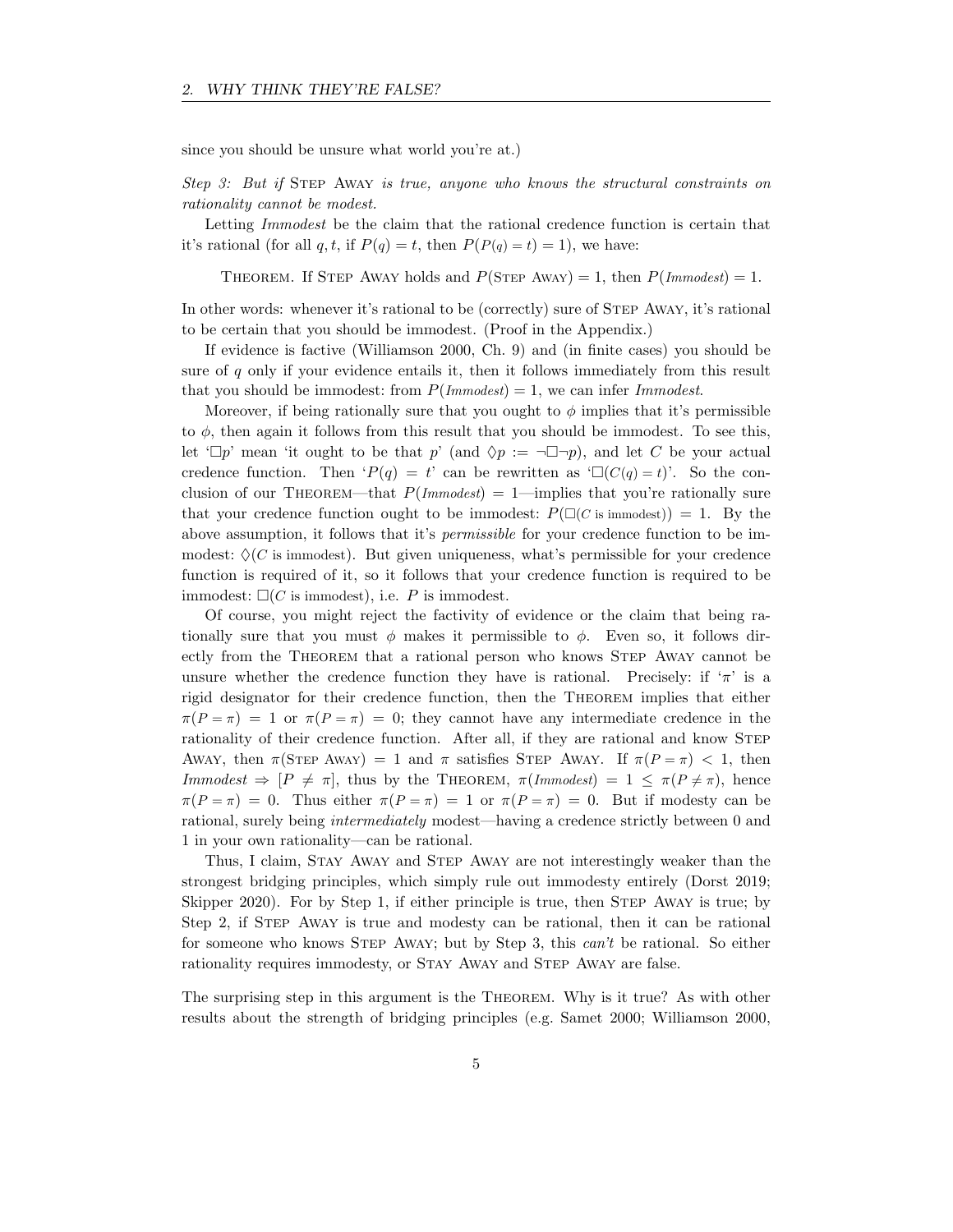since you should be unsure what world you're at.)

Step 3: But if Step Away is true, anyone who knows the structural constraints on rationality cannot be modest.

Letting *Immodest* be the claim that the rational credence function is certain that it's rational (for all q, t, if  $P(q) = t$ , then  $P(P(q) = t) = 1$ ), we have:

THEOREM. If STEP AWAY holds and  $P(\text{STEP} \text{ Away}) = 1$ , then  $P(\text{Immodest}) = 1$ .

In other words: whenever it's rational to be (correctly) sure of STEP AWAY, it's rational to be certain that you should be immodest. (Proof in the Appendix.)

If evidence is factive (Williamson 2000, Ch. 9) and (in finite cases) you should be sure of q only if your evidence entails it, then it follows immediately from this result that you should be immodest: from  $P(Im modest) = 1$ , we can infer Immodest.

Moreover, if being rationally sure that you ought to  $\phi$  implies that it's permissible to  $\phi$ , then again it follows from this result that you should be immodest. To see this, let ' $\Box p$ ' mean 'it ought to be that p' (and  $\Diamond p := \neg \Box \neg p$ ), and let C be your actual credence function. Then ' $P(q) = t'$  can be rewritten as ' $\Box(C(q) = t)$ '. So the conclusion of our THEOREM—that  $P(Im modest) = 1$ —implies that you're rationally sure that your credence function ought to be immodest:  $P(\Box(C \text{ is immodest})) = 1$ . By the above assumption, it follows that it's *permissible* for your credence function to be immodest:  $\Diamond$  (C is immodest). But given uniqueness, what's permissible for your credence function is required of it, so it follows that your credence function is required to be immodest:  $\square (C \text{ is immodest})$ , i.e. P is immodest.

Of course, you might reject the factivity of evidence or the claim that being rationally sure that you must  $\phi$  makes it permissible to  $\phi$ . Even so, it follows directly from the Theorem that a rational person who knows Step Away cannot be unsure whether the credence function they have is rational. Precisely: if  $\pi$  is a rigid designator for their credence function, then the Theorem implies that either  $\pi(P=\pi) = 1$  or  $\pi(P=\pi) = 0$ ; they cannot have any intermediate credence in the rationality of their credence function. After all, if they are rational and know STEP AWAY, then  $\pi(\text{STEP A}^{\text{WAY}}) = 1$  and  $\pi$  satisfies STEP AWAY. If  $\pi(P = \pi) < 1$ , then Immodest  $\Rightarrow$   $[P \neq \pi]$ , thus by the THEOREM,  $\pi(Immodes) = 1 \leq \pi(P \neq \pi)$ , hence  $\pi(P=\pi) = 0$ . Thus either  $\pi(P=\pi) = 1$  or  $\pi(P=\pi) = 0$ . But if modesty can be rational, surely being intermediately modest—having a credence strictly between 0 and 1 in your own rationality—can be rational.

Thus, I claim, Stay Away and Step Away are not interestingly weaker than the strongest bridging principles, which simply rule out immodesty entirely (Dorst 2019; Skipper 2020). For by Step 1, if either principle is true, then Step Away is true; by Step 2, if Step Away is true and modesty can be rational, then it can be rational for someone who knows Step Away; but by Step 3, this can't be rational. So either rationality requires immodesty, or STAY AWAY and STEP AWAY are false.

The surprising step in this argument is the Theorem. Why is it true? As with other results about the strength of bridging principles (e.g. Samet 2000; Williamson 2000,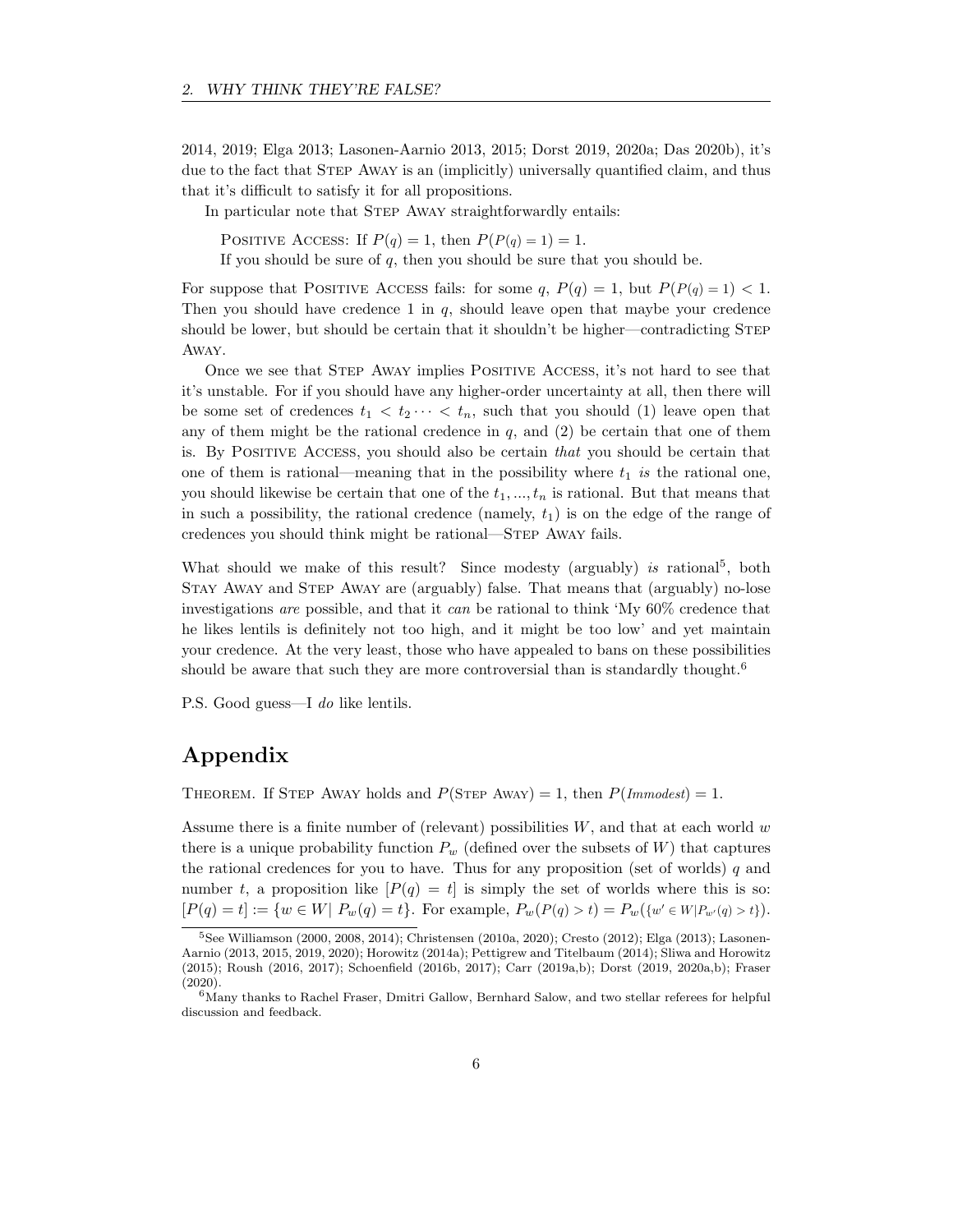2014, 2019; Elga 2013; Lasonen-Aarnio 2013, 2015; Dorst 2019, 2020a; Das 2020b), it's due to the fact that STEP AWAY is an (implicitly) universally quantified claim, and thus that it's difficult to satisfy it for all propositions.

In particular note that STEP AWAY straightforwardly entails:

POSITIVE ACCESS: If  $P(q) = 1$ , then  $P(P(q) = 1) = 1$ .

If you should be sure of  $q$ , then you should be sure that you should be.

For suppose that POSITIVE ACCESS fails: for some  $q$ ,  $P(q) = 1$ , but  $P(P(q) = 1) < 1$ . Then you should have credence  $1$  in  $q$ , should leave open that maybe your credence should be lower, but should be certain that it shouldn't be higher—contradicting STEP Away.

Once we see that Step Away implies Positive Access, it's not hard to see that it's unstable. For if you should have any higher-order uncertainty at all, then there will be some set of credences  $t_1 < t_2 \cdots < t_n$ , such that you should (1) leave open that any of them might be the rational credence in  $q$ , and (2) be certain that one of them is. By Positive Access, you should also be certain that you should be certain that one of them is rational—meaning that in the possibility where  $t_1$  is the rational one, you should likewise be certain that one of the  $t_1, ..., t_n$  is rational. But that means that in such a possibility, the rational credence (namely,  $t_1$ ) is on the edge of the range of credences you should think might be rational—Step Away fails.

What should we make of this result? Since modesty (arguably) is rational<sup>5</sup>, both Stay Away and Step Away are (arguably) false. That means that (arguably) no-lose investigations are possible, and that it can be rational to think 'My 60% credence that he likes lentils is definitely not too high, and it might be too low' and yet maintain your credence. At the very least, those who have appealed to bans on these possibilities should be aware that such they are more controversial than is standardly thought.<sup>6</sup>

P.S. Good guess—I do like lentils.

# Appendix

THEOREM. If STEP AWAY holds and  $P(\text{STEP Away}) = 1$ , then  $P(\text{Immodest}) = 1$ .

Assume there is a finite number of (relevant) possibilities  $W$ , and that at each world  $w$ there is a unique probability function  $P_w$  (defined over the subsets of W) that captures the rational credences for you to have. Thus for any proposition (set of worlds) q and number t, a proposition like  $[P(q) = t]$  is simply the set of worlds where this is so:  $[P(q) = t] := \{w \in W | P_w(q) = t\}.$  For example,  $P_w(P(q) > t) = P_w(\{w' \in W | P_{w'}(q) > t\}).$ 

<sup>5</sup>See Williamson (2000, 2008, 2014); Christensen (2010a, 2020); Cresto (2012); Elga (2013); Lasonen-Aarnio (2013, 2015, 2019, 2020); Horowitz (2014a); Pettigrew and Titelbaum (2014); Sliwa and Horowitz (2015); Roush (2016, 2017); Schoenfield (2016b, 2017); Carr (2019a,b); Dorst (2019, 2020a,b); Fraser (2020).

 $6$ Many thanks to Rachel Fraser, Dmitri Gallow, Bernhard Salow, and two stellar referees for helpful discussion and feedback.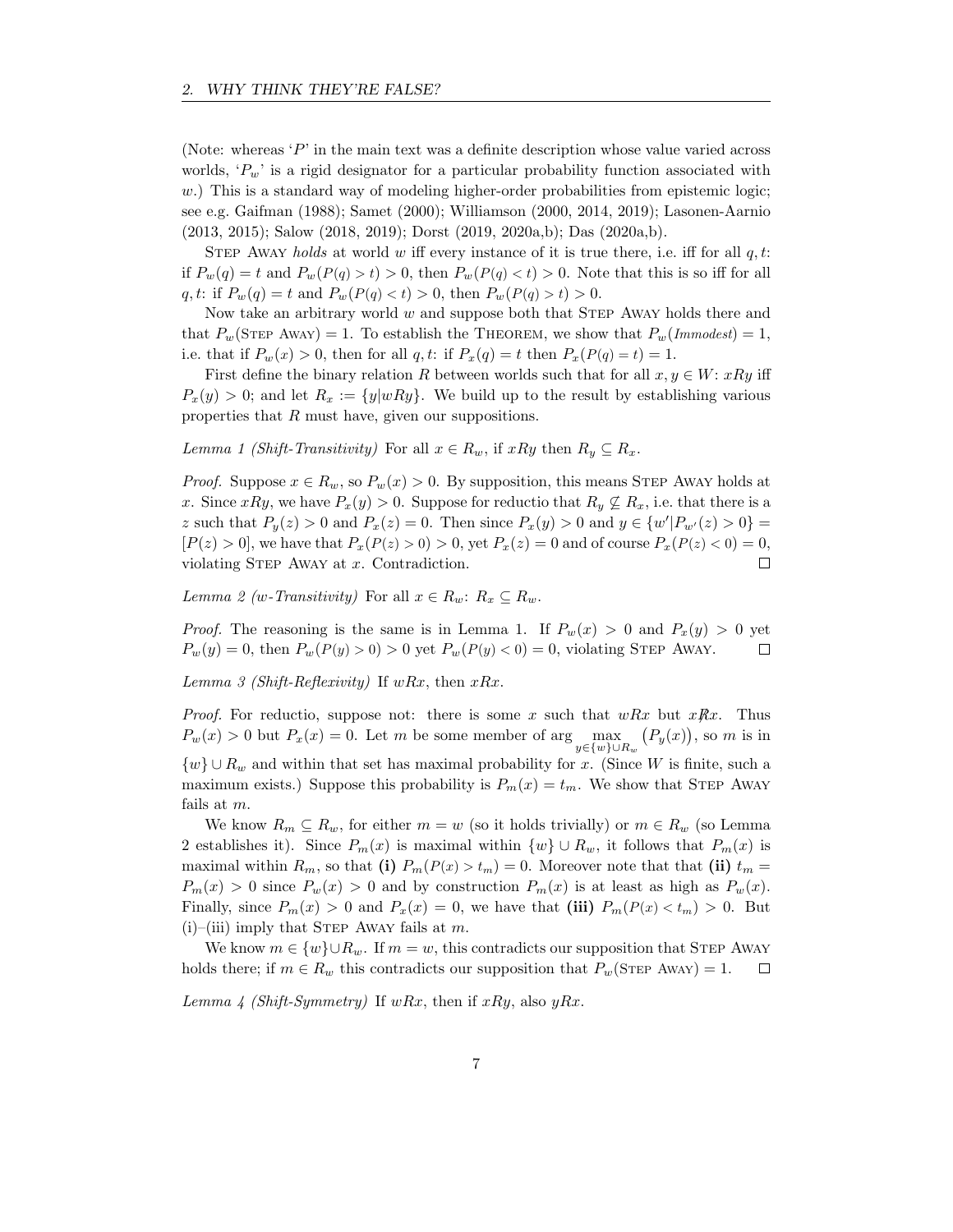(Note: whereas 'P' in the main text was a definite description whose value varied across worlds,  $P_w$  is a rigid designator for a particular probability function associated with  $w$ .) This is a standard way of modeling higher-order probabilities from epistemic logic; see e.g. Gaifman (1988); Samet (2000); Williamson (2000, 2014, 2019); Lasonen-Aarnio (2013, 2015); Salow (2018, 2019); Dorst (2019, 2020a,b); Das (2020a,b).

STEP AWAY holds at world w iff every instance of it is true there, i.e. iff for all  $q, t$ : if  $P_w(q) = t$  and  $P_w(P(q) > t) > 0$ , then  $P_w(P(q) < t) > 0$ . Note that this is so iff for all q, t: if  $P_w(q) = t$  and  $P_w(P(q) < t) > 0$ , then  $P_w(P(q) > t) > 0$ .

Now take an arbitrary world  $w$  and suppose both that STEP AWAY holds there and that  $P_w(\text{STEP A}^w) = 1$ . To establish the THEOREM, we show that  $P_w(\text{Im}^w) = 1$ , i.e. that if  $P_w(x) > 0$ , then for all q, t: if  $P_x(q) = t$  then  $P_x(P(q) = t) = 1$ .

First define the binary relation R between worlds such that for all  $x, y \in W$ :  $xRy$  iff  $P_x(y) > 0$ ; and let  $R_x := \{y|wRy\}$ . We build up to the result by establishing various properties that R must have, given our suppositions.

Lemma 1 (Shift-Transitivity) For all  $x \in R_w$ , if  $xRy$  then  $R_y \subseteq R_x$ .

*Proof.* Suppose  $x \in R_w$ , so  $P_w(x) > 0$ . By supposition, this means STEP AWAY holds at x. Since xRy, we have  $P_x(y) > 0$ . Suppose for reductio that  $R_y \nsubseteq R_x$ , i.e. that there is a z such that  $P_y(z) > 0$  and  $P_x(z) = 0$ . Then since  $P_x(y) > 0$  and  $y \in \{w'|P_{w'}(z) > 0\}$  $[P(z) > 0]$ , we have that  $P_x(P(z) > 0) > 0$ , yet  $P_x(z) = 0$  and of course  $P_x(P(z) < 0) = 0$ , violating STEP AWAY at  $x$ . Contradiction.  $\Box$ 

Lemma 2 (w-Transitivity) For all  $x \in R_w$ :  $R_x \subseteq R_w$ .

*Proof.* The reasoning is the same is in Lemma 1. If  $P_w(x) > 0$  and  $P_x(y) > 0$  yet  $P_w(y) = 0$ , then  $P_w(P(y) > 0) > 0$  yet  $P_w(P(y) < 0) = 0$ , violating STEP AWAY.  $\Box$ 

Lemma 3 (Shift-Reflexivity) If  $wRx$ , then  $xRx$ .

*Proof.* For reductio, suppose not: there is some x such that  $wRx$  but  $xRx$ . Thus  $P_w(x) > 0$  but  $P_x(x) = 0$ . Let m be some member of  $\arg\max_{y \in \{w\} \cup R_w} (P_y(x))$ , so m is in  $\{w\} \cup R_w$  and within that set has maximal probability for x. (Since W is finite, such a maximum exists.) Suppose this probability is  $P_m(x) = t_m$ . We show that STEP AWAY fails at m.

We know  $R_m \subseteq R_w$ , for either  $m = w$  (so it holds trivially) or  $m \in R_w$  (so Lemma 2 establishes it). Since  $P_m(x)$  is maximal within  $\{w\} \cup R_w$ , it follows that  $P_m(x)$  is maximal within  $R_m$ , so that (i)  $P_m(P(x) > t_m) = 0$ . Moreover note that that (ii)  $t_m =$  $P_m(x) > 0$  since  $P_w(x) > 0$  and by construction  $P_m(x)$  is at least as high as  $P_w(x)$ . Finally, since  $P_m(x) > 0$  and  $P_x(x) = 0$ , we have that (iii)  $P_m(P(x) < t_m) > 0$ . But  $(i)$ –(iii) imply that STEP AWAY fails at m.

We know  $m \in \{w\} \cup R_w$ . If  $m = w$ , this contradicts our supposition that STEP AWAY holds there; if  $m \in R_w$  this contradicts our supposition that  $P_w(\text{STEP} \text{ A}^w) = 1$ .  $\Box$ 

Lemma 4 (Shift-Symmetry) If wRx, then if xRy, also yRx.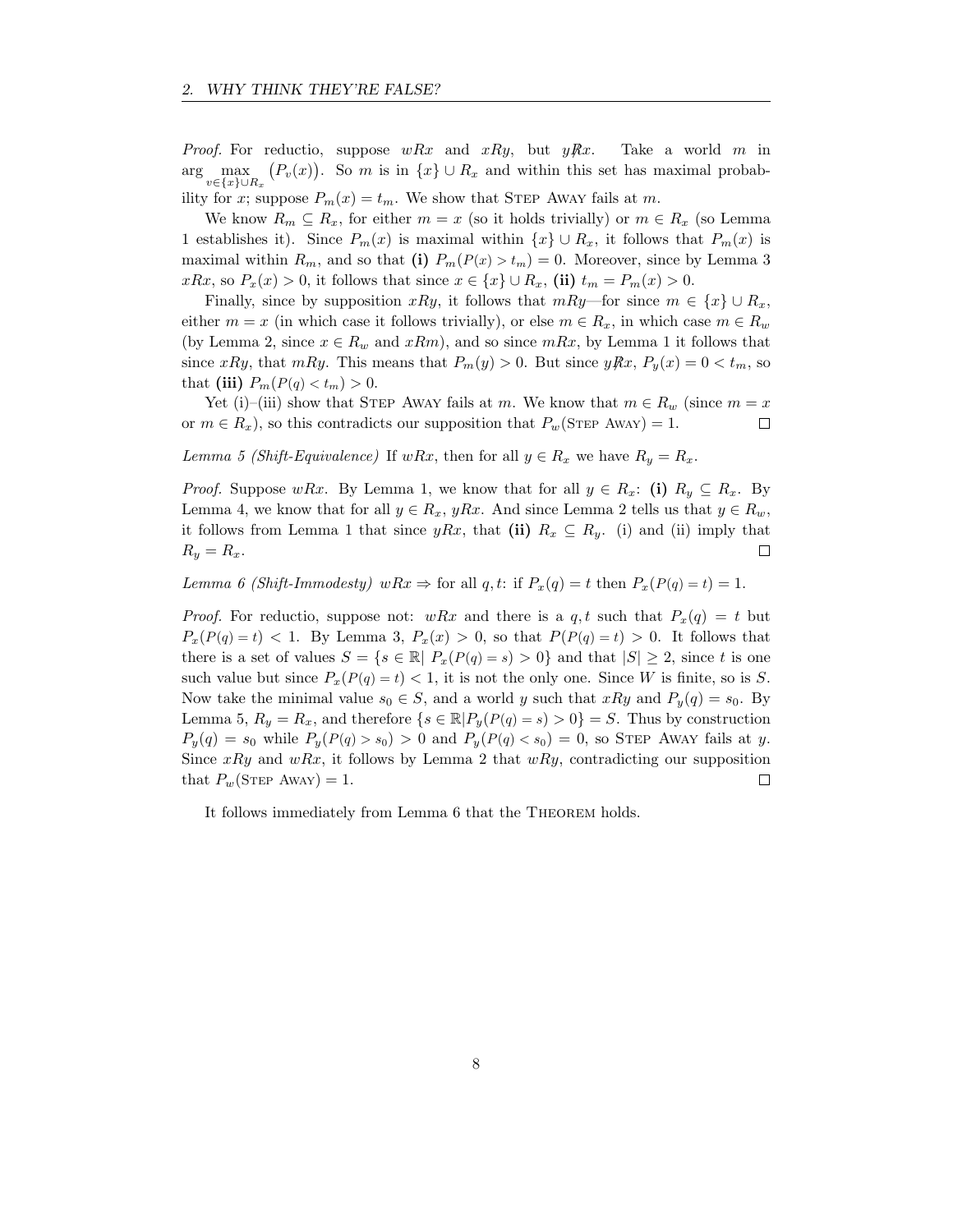*Proof.* For reductio, suppose  $wRx$  and  $xRy$ , but  $yRx$ . Take a world m in  $\arg \max_{v \in \{x\} \cup R_x} (P_v(x))$ . So m is in  $\{x\} \cup R_x$  and within this set has maximal probability for x; suppose  $P_m(x) = t_m$ . We show that STEP AWAY fails at m.

We know  $R_m \subseteq R_x$ , for either  $m = x$  (so it holds trivially) or  $m \in R_x$  (so Lemma 1 establishes it). Since  $P_m(x)$  is maximal within  $\{x\} \cup R_x$ , it follows that  $P_m(x)$  is maximal within  $R_m$ , and so that (i)  $P_m(P(x) > t_m) = 0$ . Moreover, since by Lemma 3  $xRx$ , so  $P_x(x) > 0$ , it follows that since  $x \in \{x\} \cup R_x$ , (ii)  $t_m = P_m(x) > 0$ .

Finally, since by supposition xRy, it follows that  $mRy$ —for since  $m \in \{x\} \cup R_x$ , either  $m = x$  (in which case it follows trivially), or else  $m \in R_x$ , in which case  $m \in R_w$ (by Lemma 2, since  $x \in R_w$  and  $xRm$ ), and so since  $mRx$ , by Lemma 1 it follows that since xRy, that mRy. This means that  $P_m(y) > 0$ . But since  $yRx$ ,  $P_y(x) = 0 < t_m$ , so that (iii)  $P_m(P(q) < t_m) > 0$ .

Yet (i)–(iii) show that STEP AWAY fails at m. We know that  $m \in R_w$  (since  $m = x$ or  $m \in R_x$ , so this contradicts our supposition that  $P_w(\text{STEP} \text{ Away}) = 1$ .  $\Box$ 

Lemma 5 (Shift-Equivalence) If wRx, then for all  $y \in R_x$  we have  $R_y = R_x$ .

*Proof.* Suppose wRx. By Lemma 1, we know that for all  $y \in R_x$ : (i)  $R_y \subseteq R_x$ . By Lemma 4, we know that for all  $y \in R_x$ , yRx. And since Lemma 2 tells us that  $y \in R_w$ , it follows from Lemma 1 that since yRx, that (ii)  $R_x \subseteq R_y$ . (i) and (ii) imply that  $R_y = R_x.$ □

Lemma 6 (Shift-Immodesty) wRx  $\Rightarrow$  for all q, t: if  $P_x(q) = t$  then  $P_x(P(q) = t) = 1$ .

*Proof.* For reductio, suppose not:  $wRx$  and there is a q, t such that  $P_x(q) = t$  but  $P_x(P(q) = t) < 1$ . By Lemma 3,  $P_x(x) > 0$ , so that  $P(P(q) = t) > 0$ . It follows that there is a set of values  $S = \{s \in \mathbb{R} \mid P_x(P(q) = s) > 0\}$  and that  $|S| \geq 2$ , since t is one such value but since  $P_x(P(q) = t) < 1$ , it is not the only one. Since W is finite, so is S. Now take the minimal value  $s_0 \in S$ , and a world y such that  $xRy$  and  $P_y(q) = s_0$ . By Lemma 5,  $R_y = R_x$ , and therefore  $\{s \in \mathbb{R} | P_y(P(q) = s) > 0\} = S$ . Thus by construction  $P_y(q) = s_0$  while  $P_y(P(q) > s_0) > 0$  and  $P_y(P(q) < s_0) = 0$ , so STEP AWAY fails at y. Since  $xRy$  and  $wRx$ , it follows by Lemma 2 that  $wRy$ , contradicting our supposition that  $P_w(\text{STEP Away}) = 1$ .  $\Box$ 

It follows immediately from Lemma 6 that the Theorem holds.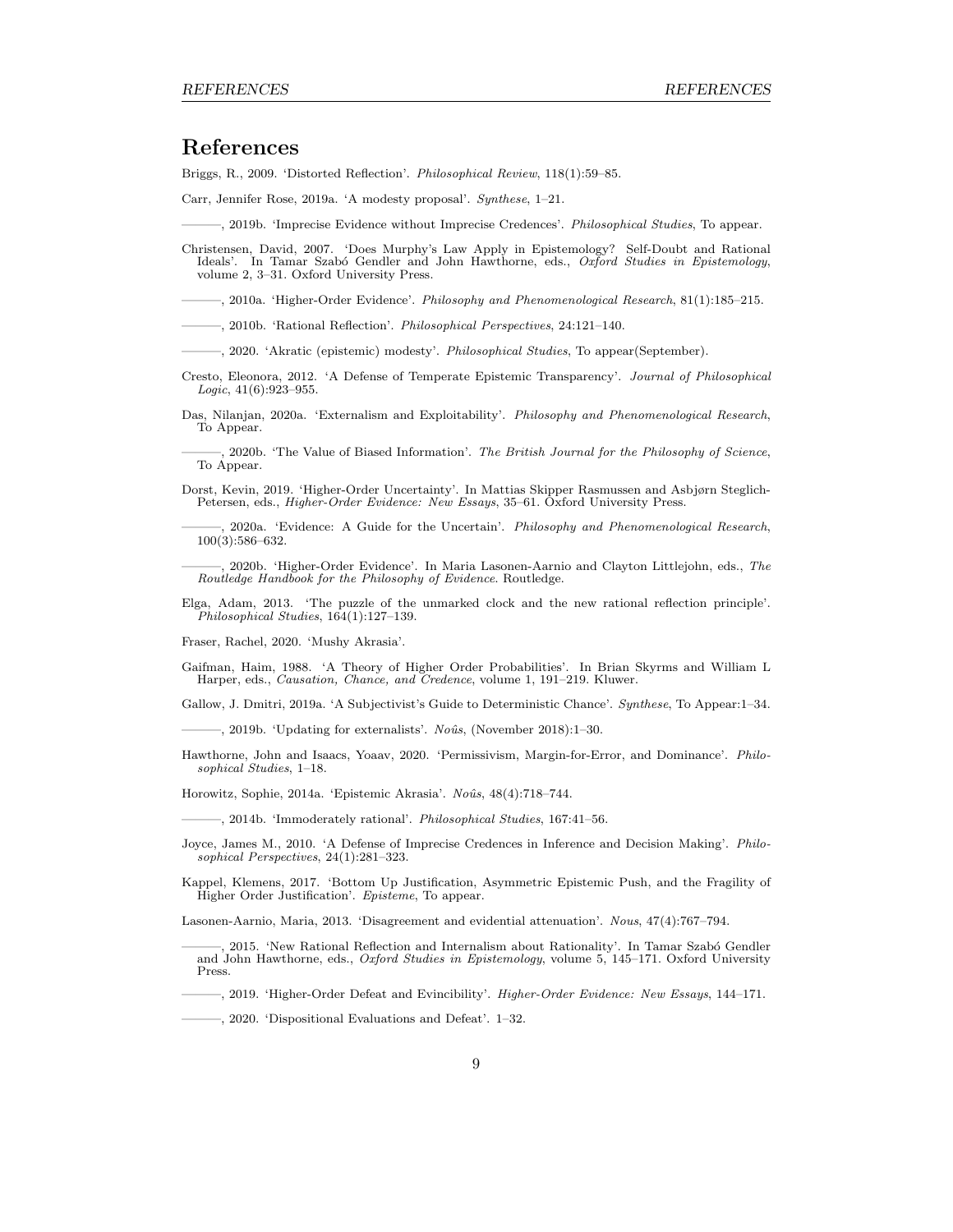## References

Briggs, R., 2009. 'Distorted Reflection'. Philosophical Review, 118(1):59–85.

Carr, Jennifer Rose, 2019a. 'A modesty proposal'. Synthese, 1–21.

———, 2019b. 'Imprecise Evidence without Imprecise Credences'. Philosophical Studies, To appear.

Christensen, David, 2007. 'Does Murphy's Law Apply in Epistemology? Self-Doubt and Rational Ideals'. In Tamar Szabó Gendler and John Hawthorne, eds., Oxford Studies in Epistemology, volume 2, 3–31. Oxford University Press.

———, 2010a. 'Higher-Order Evidence'. Philosophy and Phenomenological Research, 81(1):185–215.

———, 2010b. 'Rational Reflection'. Philosophical Perspectives, 24:121–140.

———, 2020. 'Akratic (epistemic) modesty'. Philosophical Studies, To appear(September).

- Cresto, Eleonora, 2012. 'A Defense of Temperate Epistemic Transparency'. Journal of Philosophical Logic, 41(6):923–955.
- Das, Nilanjan, 2020a. 'Externalism and Exploitability'. Philosophy and Phenomenological Research, To Appear.

———, 2020b. 'The Value of Biased Information'. The British Journal for the Philosophy of Science, To Appear.

Dorst, Kevin, 2019. 'Higher-Order Uncertainty'. In Mattias Skipper Rasmussen and Asbjørn Steglich-Petersen, eds., Higher-Order Evidence: New Essays, 35–61. Oxford University Press.

———, 2020a. 'Evidence: A Guide for the Uncertain'. Philosophy and Phenomenological Research, 100(3):586–632.

———, 2020b. 'Higher-Order Evidence'. In Maria Lasonen-Aarnio and Clayton Littlejohn, eds., The Routledge Handbook for the Philosophy of Evidence. Routledge.

Elga, Adam, 2013. 'The puzzle of the unmarked clock and the new rational reflection principle'. Philosophical Studies, 164(1):127–139.

Fraser, Rachel, 2020. 'Mushy Akrasia'.

Gaifman, Haim, 1988. 'A Theory of Higher Order Probabilities'. In Brian Skyrms and William L Harper, eds., Causation, Chance, and Credence, volume 1, 191–219. Kluwer.

Gallow, J. Dmitri, 2019a. 'A Subjectivist's Guide to Deterministic Chance'. Synthese, To Appear:1–34.

——, 2019b. 'Updating for externalists'. Noûs, (November 2018):1–30.

Hawthorne, John and Isaacs, Yoaav, 2020. 'Permissivism, Margin-for-Error, and Dominance'. Philosophical Studies, 1–18.

Horowitz, Sophie, 2014a. 'Epistemic Akrasia'. Noûs, 48(4):718-744.

———, 2014b. 'Immoderately rational'. Philosophical Studies, 167:41–56.

Joyce, James M., 2010. 'A Defense of Imprecise Credences in Inference and Decision Making'. Philosophical Perspectives, 24(1):281–323.

Kappel, Klemens, 2017. 'Bottom Up Justification, Asymmetric Epistemic Push, and the Fragility of Higher Order Justification'. Episteme, To appear.

Lasonen-Aarnio, Maria, 2013. 'Disagreement and evidential attenuation'. Nous, 47(4):767–794.

2015. 'New Rational Reflection and Internalism about Rationality'. In Tamar Szabó Gendler and John Hawthorne, eds., Oxford Studies in Epistemology, volume 5, 145–171. Oxford University Press.

———, 2019. 'Higher-Order Defeat and Evincibility'. Higher-Order Evidence: New Essays, 144–171.

———, 2020. 'Dispositional Evaluations and Defeat'. 1–32.